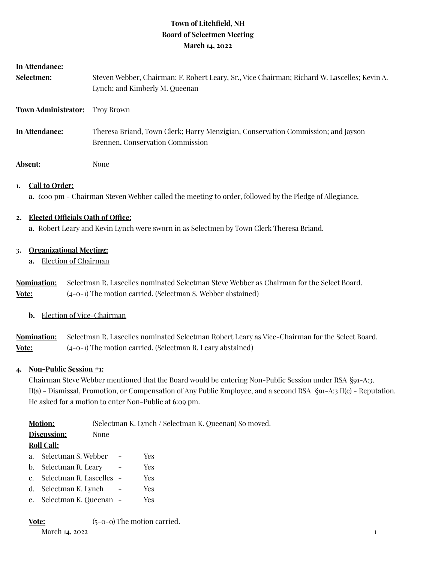# **Town of Litchfield, NH Board of Selectmen Meeting March 14, 2022**

| In Attendance:      |                                                                                                                                |  |  |
|---------------------|--------------------------------------------------------------------------------------------------------------------------------|--|--|
| Selectmen:          | Steven Webber, Chairman; F. Robert Leary, Sr., Vice Chairman; Richard W. Lascelles; Kevin A.<br>Lynch; and Kimberly M. Queenan |  |  |
| Town Administrator: | Troy Brown                                                                                                                     |  |  |
| In Attendance:      | Theresa Briand, Town Clerk; Harry Menzigian, Conservation Commission; and Jayson<br>Brennen, Conservation Commission           |  |  |
| Absent:             | None                                                                                                                           |  |  |

# **1. Call to Order:**

**a.** 6:00 pm - Chairman Steven Webber called the meeting to order, followed by the Pledge of Allegiance.

# **2. Elected Officials Oath of Office:**

**a.** Robert Leary and Kevin Lynch were sworn in as Selectmen by Town Clerk Theresa Briand.

# **3. Organizational Meeting:**

**a.** Election of Chairman

**Nomination:** Selectman R. Lascelles nominated Selectman Steve Webber as Chairman for the Select Board. **Vote:** (4-0-1) The motion carried. (Selectman S. Webber abstained)

# **b.** Election of Vice-Chairman

**Nomination:** Selectman R. Lascelles nominated Selectman Robert Leary as Vice-Chairman for the Select Board. **Vote:** (4-0-1) The motion carried. (Selectman R. Leary abstained)

# **4. Non-Public Session #1:**

Chairman Steve Webber mentioned that the Board would be entering Non-Public Session under RSA §91-A:3. II(a) - Dismissal, Promotion, or Compensation of Any Public Employee, and a second RSA §91-A:3 II(c) - Reputation. He asked for a motion to enter Non-Public at 6:09 pm.

| <b>Motion:</b>      |                          |  | (Selectman K. Lynch / Selectman K. Queenan) So moved. |  |  |
|---------------------|--------------------------|--|-------------------------------------------------------|--|--|
| Discussion:<br>None |                          |  |                                                       |  |  |
| <b>Roll Call:</b>   |                          |  |                                                       |  |  |
| a <sub>z</sub>      | Selectman S. Webber      |  | Yes.                                                  |  |  |
| b.                  | Selectman R. Leary       |  | <b>Yes</b>                                            |  |  |
| $C_{\cdot}$         | Selectman R. Lascelles - |  | Yes                                                   |  |  |
| d.                  | Selectman K. Lynch       |  | Yes                                                   |  |  |
| e.                  | Selectman K. Queenan -   |  | Yes                                                   |  |  |
|                     |                          |  |                                                       |  |  |

**Vote:** (5-0-0) The motion carried. March 14, 2022 **1**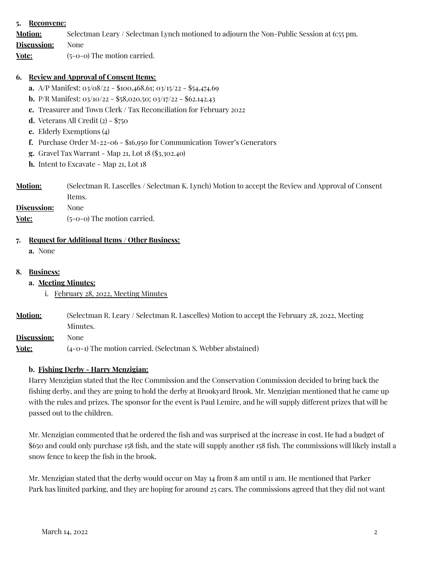### **5. Reconvene:**

**Motion:** Selectman Leary / Selectman Lynch motioned to adjourn the Non-Public Session at 6:55 pm.

**Discussion:** None

**Vote:** (5-0-0) The motion carried.

#### **6. Review and Approval of Consent Items:**

- **a.** A/P Manifest: 03/08/22 \$100,468.61; 03/15/22 \$54,474.69
- **b.** P/R Manifest: 03/10/22 \$58,020.50; 03/17/22 \$62.142.43
- **c.** Treasurer and Town Clerk / Tax Reconciliation for February 2022
- **d.** Veterans All Credit  $(2)$  \$750
- **e.** Elderly Exemptions (4)
- **f.** Purchase Order M-22-06 \$16,950 for Communication Tower's Generators
- **g.** Gravel Tax Warrant Map 21, Lot 18 (\$3,302.40)
- **h.** Intent to Excavate Map 21, Lot 18
- **Motion:** (Selectman R. Lascelles / Selectman K. Lynch) Motion to accept the Review and Approval of Consent Items.

**Discussion:** None

**Vote:** (5-0-0) The motion carried.

#### **7. Request for Additional Items / Other Business:**

**a.** None

#### **8. Business:**

#### **a. Meeting Minutes:**

- i. February 28, 2022, Meeting Minutes
- **Motion:** (Selectman R. Leary / Selectman R. Lascelles) Motion to accept the February 28, 2022, Meeting Minutes.

**Discussion:** None

**Vote:** (4-0-1) The motion carried. (Selectman S. Webber abstained)

#### **b. Fishing Derby - Harry Menzigian:**

Harry Menzigian stated that the Rec Commission and the Conservation Commission decided to bring back the fishing derby, and they are going to hold the derby at Brookyard Brook. Mr. Menzigian mentioned that he came up with the rules and prizes. The sponsor for the event is Paul Lemire, and he will supply different prizes that will be passed out to the children.

Mr. Menzigian commented that he ordered the fish and was surprised at the increase in cost. He had a budget of \$650 and could only purchase 158 fish, and the state will supply another 158 fish. The commissions will likely install a snow fence to keep the fish in the brook.

Mr. Menzigian stated that the derby would occur on May 14 from 8 am until 11 am. He mentioned that Parker Park has limited parking, and they are hoping for around 25 cars. The commissions agreed that they did not want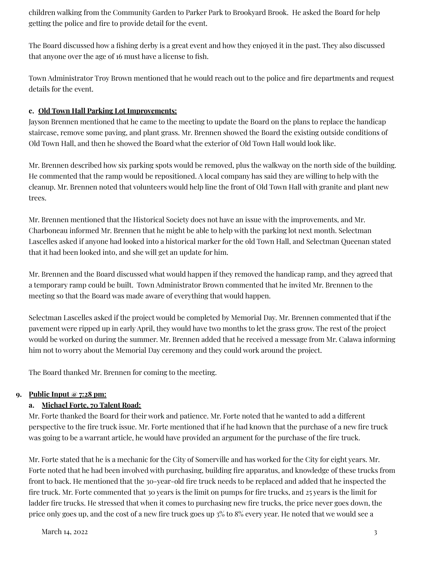children walking from the Community Garden to Parker Park to Brookyard Brook. He asked the Board for help getting the police and fire to provide detail for the event.

The Board discussed how a fishing derby is a great event and how they enjoyed it in the past. They also discussed that anyone over the age of 16 must have a license to fish.

Town Administrator Troy Brown mentioned that he would reach out to the police and fire departments and request details for the event.

## **c. Old Town Hall Parking Lot Improvements:**

Jayson Brennen mentioned that he came to the meeting to update the Board on the plans to replace the handicap staircase, remove some paving, and plant grass. Mr. Brennen showed the Board the existing outside conditions of Old Town Hall, and then he showed the Board what the exterior of Old Town Hall would look like.

Mr. Brennen described how six parking spots would be removed, plus the walkway on the north side of the building. He commented that the ramp would be repositioned. A local company has said they are willing to help with the cleanup. Mr. Brennen noted that volunteers would help line the front of Old Town Hall with granite and plant new trees.

Mr. Brennen mentioned that the Historical Society does not have an issue with the improvements, and Mr. Charboneau informed Mr. Brennen that he might be able to help with the parking lot next month. Selectman Lascelles asked if anyone had looked into a historical marker for the old Town Hall, and Selectman Queenan stated that it had been looked into, and she will get an update for him.

Mr. Brennen and the Board discussed what would happen if they removed the handicap ramp, and they agreed that a temporary ramp could be built. Town Administrator Brown commented that he invited Mr. Brennen to the meeting so that the Board was made aware of everything that would happen.

Selectman Lascelles asked if the project would be completed by Memorial Day. Mr. Brennen commented that if the pavement were ripped up in early April, they would have two months to let the grass grow. The rest of the project would be worked on during the summer. Mr. Brennen added that he received a message from Mr. Calawa informing him not to worry about the Memorial Day ceremony and they could work around the project.

The Board thanked Mr. Brennen for coming to the meeting.

### **9. Public Input @ 7:28 pm:**

# **a. Michael Forte, 70 Talent Road:**

Mr. Forte thanked the Board for their work and patience. Mr. Forte noted that he wanted to add a different perspective to the fire truck issue. Mr. Forte mentioned that if he had known that the purchase of a new fire truck was going to be a warrant article, he would have provided an argument for the purchase of the fire truck.

Mr. Forte stated that he is a mechanic for the City of Somerville and has worked for the City for eight years. Mr. Forte noted that he had been involved with purchasing, building fire apparatus, and knowledge of these trucks from front to back. He mentioned that the 30-year-old fire truck needs to be replaced and added that he inspected the fire truck. Mr. Forte commented that 30 years is the limit on pumps for fire trucks, and 25 years is the limit for ladder fire trucks. He stressed that when it comes to purchasing new fire trucks, the price never goes down, the price only goes up, and the cost of a new fire truck goes up 3% to 8% every year. He noted that we would see a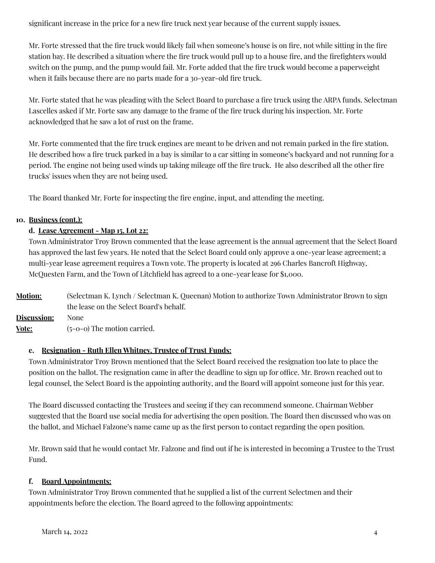significant increase in the price for a new fire truck next year because of the current supply issues.

Mr. Forte stressed that the fire truck would likely fail when someone's house is on fire, not while sitting in the fire station bay. He described a situation where the fire truck would pull up to a house fire, and the firefighters would switch on the pump, and the pump would fail. Mr. Forte added that the fire truck would become a paperweight when it fails because there are no parts made for a 30-year-old fire truck.

Mr. Forte stated that he was pleading with the Select Board to purchase a fire truck using the ARPA funds. Selectman Lascelles asked if Mr. Forte saw any damage to the frame of the fire truck during his inspection. Mr. Forte acknowledged that he saw a lot of rust on the frame.

Mr. Forte commented that the fire truck engines are meant to be driven and not remain parked in the fire station. He described how a fire truck parked in a bay is similar to a car sitting in someone's backyard and not running for a period. The engine not being used winds up taking mileage off the fire truck. He also described all the other fire trucks' issues when they are not being used.

The Board thanked Mr. Forte for inspecting the fire engine, input, and attending the meeting.

### **10. Business (cont.):**

## **d. Lease Agreement - Map 15, Lot 22:**

Town Administrator Troy Brown commented that the lease agreement is the annual agreement that the Select Board has approved the last few years. He noted that the Select Board could only approve a one-year lease agreement; a multi-year lease agreement requires a Town vote. The property is located at 296 Charles Bancroft Highway, McQuesten Farm, and the Town of Litchfield has agreed to a one-year lease for \$1,000.

**Motion:** (Selectman K. Lynch / Selectman K. Queenan) Motion to authorize Town Administrator Brown to sign the lease on the Select Board's behalf. **Discussion:** None **Vote:** (5-0-0) The motion carried.

### **e. Resignation - Ruth Ellen Whitney, Trustee of Trust Funds:**

Town Administrator Troy Brown mentioned that the Select Board received the resignation too late to place the position on the ballot. The resignation came in after the deadline to sign up for office. Mr. Brown reached out to legal counsel, the Select Board is the appointing authority, and the Board will appoint someone just for this year.

The Board discussed contacting the Trustees and seeing if they can recommend someone. Chairman Webber suggested that the Board use social media for advertising the open position. The Board then discussed who was on the ballot, and Michael Falzone's name came up as the first person to contact regarding the open position.

Mr. Brown said that he would contact Mr. Falzone and find out if he is interested in becoming a Trustee to the Trust Fund.

### **f. Board Appointments:**

Town Administrator Troy Brown commented that he supplied a list of the current Selectmen and their appointments before the election. The Board agreed to the following appointments: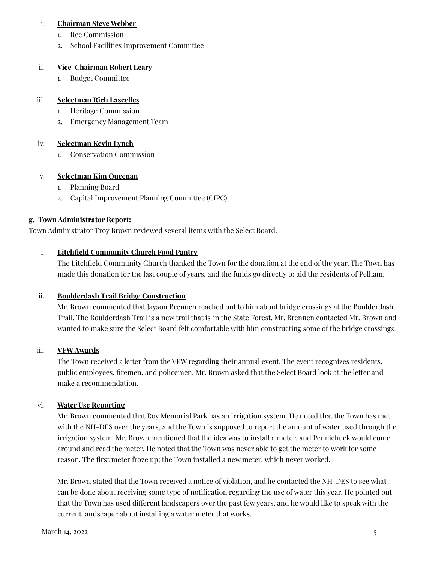#### i. **Chairman Steve Webber**

- 1. Rec Commission
- 2. School Facilities Improvement Committee

#### ii. **Vice-Chairman Robert Leary**

1. Budget Committee

### iii. **Selectman Rich Lascelles**

- 1. Heritage Commission
- 2. Emergency Management Team

## iv. **Selectman Kevin Lynch**

1. Conservation Commission

### v. **Selectman Kim Queenan**

- 1. Planning Board
- 2. Capital Improvement Planning Committee (CIPC)

### **g. Town Administrator Report:**

Town Administrator Troy Brown reviewed several items with the Select Board.

### i. **Litchfield Community Church Food Pantry**

The Litchfield Community Church thanked the Town for the donation at the end of the year. The Town has made this donation for the last couple of years, and the funds go directly to aid the residents of Pelham.

### **ii. Boulderdash Trail Bridge Construction**

Mr. Brown commented that Jayson Brennen reached out to him about bridge crossings at the Boulderdash Trail. The Boulderdash Trail is a new trail that is in the State Forest. Mr. Brennen contacted Mr. Brown and wanted to make sure the Select Board felt comfortable with him constructing some of the bridge crossings.

### iii. **VFW Awards**

The Town received a letter from the VFW regarding their annual event. The event recognizes residents, public employees, firemen, and policemen. Mr. Brown asked that the Select Board look at the letter and make a recommendation.

### vi. **Water Use Reporting**

Mr. Brown commented that Roy Memorial Park has an irrigation system. He noted that the Town has met with the NH-DES over the years, and the Town is supposed to report the amount of water used through the irrigation system. Mr. Brown mentioned that the idea was to install a meter, and Pennichuck would come around and read the meter. He noted that the Town was never able to get the meter to work for some reason. The first meter froze up; the Town installed a new meter, which never worked.

Mr. Brown stated that the Town received a notice of violation, and he contacted the NH-DES to see what can be done about receiving some type of notification regarding the use of water this year. He pointed out that the Town has used different landscapers over the past few years, and he would like to speak with the current landscaper about installing a water meter that works.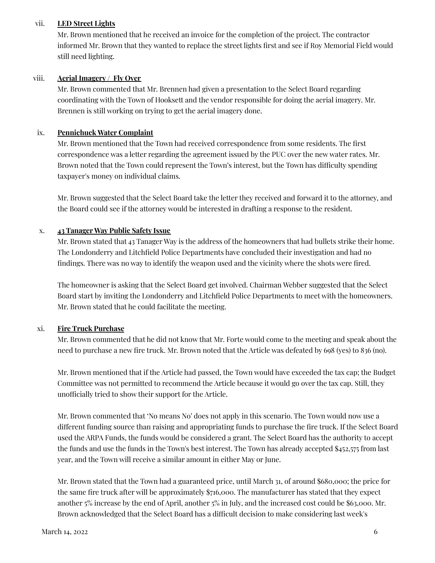#### vii. **LED Street Lights**

Mr. Brown mentioned that he received an invoice for the completion of the project. The contractor informed Mr. Brown that they wanted to replace the street lights first and see if Roy Memorial Field would still need lighting.

#### viii. **Aerial Imagery / Fly Over**

Mr. Brown commented that Mr. Brennen had given a presentation to the Select Board regarding coordinating with the Town of Hooksett and the vendor responsible for doing the aerial imagery. Mr. Brennen is still working on trying to get the aerial imagery done.

#### ix. **Pennichuck Water Complaint**

Mr. Brown mentioned that the Town had received correspondence from some residents. The first correspondence was a letter regarding the agreement issued by the PUC over the new water rates. Mr. Brown noted that the Town could represent the Town's interest, but the Town has difficulty spending taxpayer's money on individual claims.

Mr. Brown suggested that the Select Board take the letter they received and forward it to the attorney, and the Board could see if the attorney would be interested in drafting a response to the resident.

#### x. **43 Tanager Way Public Safety Issue**

Mr. Brown stated that 43 Tanager Way is the address of the homeowners that had bullets strike their home. The Londonderry and Litchfield Police Departments have concluded their investigation and had no findings. There was no way to identify the weapon used and the vicinity where the shots were fired.

The homeowner is asking that the Select Board get involved. Chairman Webber suggested that the Select Board start by inviting the Londonderry and Litchfield Police Departments to meet with the homeowners. Mr. Brown stated that he could facilitate the meeting.

### xi. **Fire Truck Purchase**

Mr. Brown commented that he did not know that Mr. Forte would come to the meeting and speak about the need to purchase a new fire truck. Mr. Brown noted that the Article was defeated by 698 (yes) to 836 (no).

Mr. Brown mentioned that if the Article had passed, the Town would have exceeded the tax cap; the Budget Committee was not permitted to recommend the Article because it would go over the tax cap. Still, they unofficially tried to show their support for the Article.

Mr. Brown commented that 'No means No' does not apply in this scenario. The Town would now use a different funding source than raising and appropriating funds to purchase the fire truck. If the Select Board used the ARPA Funds, the funds would be considered a grant. The Select Board has the authority to accept the funds and use the funds in the Town's best interest. The Town has already accepted \$452,575 from last year, and the Town will receive a similar amount in either May or June.

Mr. Brown stated that the Town had a guaranteed price, until March 31, of around \$680,000; the price for the same fire truck after will be approximately \$716,000. The manufacturer has stated that they expect another 5% increase by the end of April, another 5% in July, and the increased cost could be \$63,000. Mr. Brown acknowledged that the Select Board has a difficult decision to make considering last week's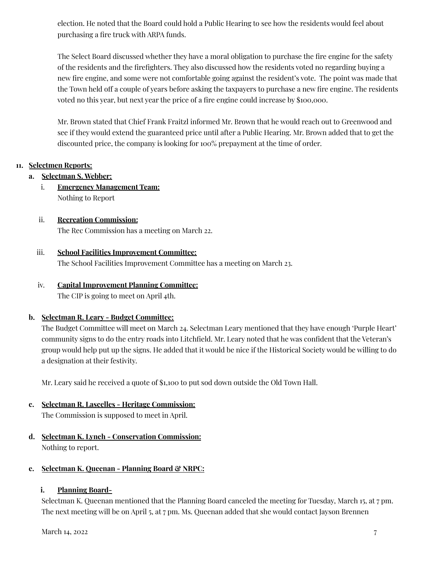election. He noted that the Board could hold a Public Hearing to see how the residents would feel about purchasing a fire truck with ARPA funds.

The Select Board discussed whether they have a moral obligation to purchase the fire engine for the safety of the residents and the firefighters. They also discussed how the residents voted no regarding buying a new fire engine, and some were not comfortable going against the resident's vote. The point was made that the Town held off a couple of years before asking the taxpayers to purchase a new fire engine. The residents voted no this year, but next year the price of a fire engine could increase by \$100,000.

Mr. Brown stated that Chief Frank Fraitzl informed Mr. Brown that he would reach out to Greenwood and see if they would extend the guaranteed price until after a Public Hearing. Mr. Brown added that to get the discounted price, the company is looking for 100% prepayment at the time of order.

## **11. Selectmen Reports:**

- **a. Selectman S. Webber:**
	- i. **Emergency Management Team:** Nothing to Report
	- ii. **Recreation Commission:** The Rec Commission has a meeting on March 22.

# iii. **School Facilities Improvement Committee:**

The School Facilities Improvement Committee has a meeting on March 23.

## iv. **Capital Improvement Planning Committee:** The CIP is going to meet on April 4th.

# **b. Selectman R. Leary - Budget Committee:**

The Budget Committee will meet on March 24. Selectman Leary mentioned that they have enough 'Purple Heart' community signs to do the entry roads into Litchfield. Mr. Leary noted that he was confident that the Veteran's group would help put up the signs. He added that it would be nice if the Historical Society would be willing to do a designation at their festivity.

Mr. Leary said he received a quote of \$1,100 to put sod down outside the Old Town Hall.

# **c. Selectman R. Lascelles - Heritage Commission:**

The Commission is supposed to meet in April.

**d. Selectman K. Lynch - Conservation Commission:** Nothing to report.

# **e. Selectman K. Queenan - Planning Board & NRPC:**

# **i. Planning Board-**

Selectman K. Queenan mentioned that the Planning Board canceled the meeting for Tuesday, March 15, at 7 pm. The next meeting will be on April 5, at 7 pm. Ms. Queenan added that she would contact Jayson Brennen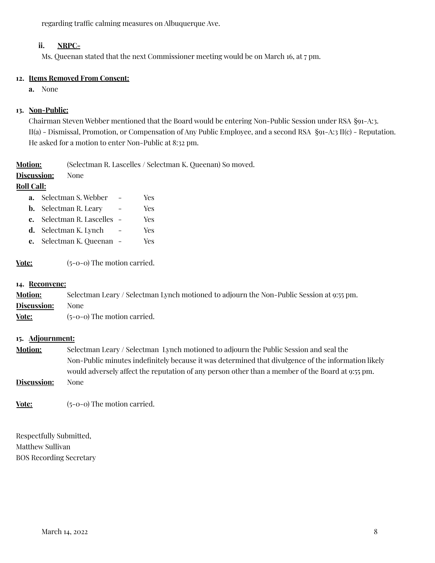regarding traffic calming measures on Albuquerque Ave.

### **ii. NRPC-**

Ms. Queenan stated that the next Commissioner meeting would be on March 16, at 7 pm.

### **12. Items Removed From Consent:**

**a.** None

### **13. Non-Public:**

Chairman Steven Webber mentioned that the Board would be entering Non-Public Session under RSA §91-A:3. II(a) - Dismissal, Promotion, or Compensation of Any Public Employee, and a second RSA §91-A:3 II(c) - Reputation. He asked for a motion to enter Non-Public at 8:32 pm.

**Motion:** (Selectman R. Lascelles / Selectman K. Queenan) So moved.

## **Discussion:** None

## **Roll Call:**

| a. | Selectman S. Webber | Yes. |
|----|---------------------|------|
|    |                     |      |

- **b.** Selectman R. Leary Yes
- **c.** Selectman R. Lascelles Yes
- **d.** Selectman K. Lynch Yes
- **e.** Selectman K. Queenan Yes

**Vote:** (5-0-0) The motion carried.

#### **14. Reconvene:**

| <b>Motion:</b> | Selectman Leary / Selectman Lynch motioned to adjourn the Non-Public Session at 9:55 pm. |
|----------------|------------------------------------------------------------------------------------------|
| Discussion:    | None                                                                                     |
| Vote:          | $(5-0-0)$ The motion carried.                                                            |

### **15. Adjournment:**

- **Motion:** Selectman Leary / Selectman Lynch motioned to adjourn the Public Session and seal the Non-Public minutes indefinitely because it was determined that divulgence of the information likely would adversely affect the reputation of any person other than a member of the Board at 9:55 pm.
- **Discussion:** None

**Vote:** (5-0-0) The motion carried.

Respectfully Submitted, Matthew Sullivan BOS Recording Secretary